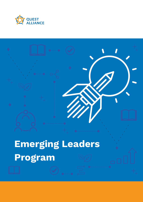



# **Emerging Leaders Program**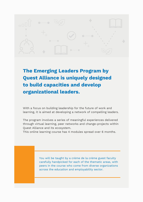

**The Emerging Leaders Program by Quest Alliance is uniquely designed to build capacities and develop organizational leaders.**

With a focus on building leadership for the future of work and learning, it is aimed at developing a network of compelling leaders.

The program involves a series of meaningful experiences delivered through virtual learning, peer networks and change-projects within Quest Alliance and its ecosystem.

This online learning course has 4 modules spread over 6 months.

You will be taught by a crème de la crème guest faculty carefully handpicked for each of the thematic areas, with peers in the course who come from diverse organizations across the education and employability sector.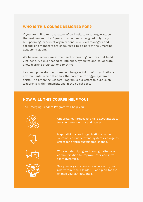#### **WHO IS THIS COURSE DESIGNED FOR?**

If you are in line to be a leader of an institute or an organization in the next few months / years, this course is designed only for you. All upcoming leaders of organizations, mid-level managers and second-line managers are encouraged to be part of the Emerging Leaders Program.

We believe leaders are at the heart of creating cultures that build 21st-century skills needed to influence, synergize and collaborate, allow learning organizations to thrive.

Leadership development creates change within their organizational environments, which then has the potential to trigger systemic shifts. The Emerging Leaders Program is our effort to build such leadership within organizations in the social sector.

#### **HOW WILL THIS COURSE HELP YOU?**

The Emerging Leaders Program will help you:



Understand, harness and take accountability for your own identity and power.





Map individual and organizational value systems, and understand systems-change to effect long-term sustainable change.

Work on identifying and honing patterns of communication to improve inter and intra team dynamics.

See your organization as a whole and your role within it as a leader -- and plan for the change you can influence.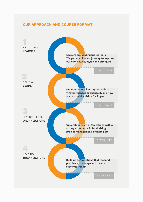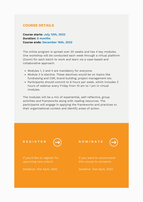#### **COURSE DETAILS**

**Course starts: July 12th, 2022 Duration: 6 months Course ends: December 16th, 2022**

The online program is spread over 20 weeks and has 4 key modules. One workshop will be conducted each week through a virtual platform (Zoom) for each batch to work and learn via a case-based and collaborative approach.

- Modules 1, 2 and 4 are mandatory for everyone.
- Module 3 is elective. These electives would be on topics like fundraising and CSR, brand building, project management etc.
- Participants should commit to 6 hours per week, which includes 3 hours of webinar every Friday from 10 am to 1 pm in virtual modules.

The modules will be a mix of experiential, self-reflective, group activities and frameworks along with reading resources. The participants will engage in applying the frameworks and practices to their organizational context and identify areas of action.

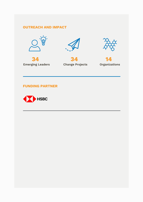## **OUTREACH AND IMPACT**







**34**



**14**

### **FUNDING PARTNER**